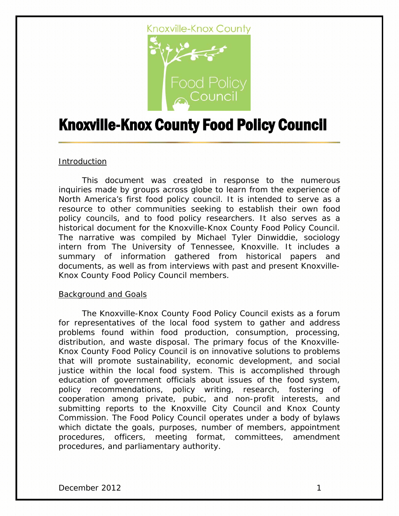

# Knoxville-Knox County Food Policy Council

#### **Introduction**

This document was created in response to the numerous inquiries made by groups across globe to learn from the experience of North America's first food policy council. It is intended to serve as a resource to other communities seeking to establish their own food policy councils, and to food policy researchers. It also serves as a historical document for the Knoxville-Knox County Food Policy Council. The narrative was compiled by Michael Tyler Dinwiddie, sociology intern from The University of Tennessee, Knoxville. It includes a summary of information gathered from historical papers and documents, as well as from interviews with past and present Knoxville-Knox County Food Policy Council members.

#### Background and Goals

The Knoxville-Knox County Food Policy Council exists as a forum for representatives of the local food system to gather and address problems found within food production, consumption, processing, distribution, and waste disposal. The primary focus of the Knoxville-Knox County Food Policy Council is on innovative solutions to problems that will promote sustainability, economic development, and social justice within the local food system. This is accomplished through education of government officials about issues of the food system, policy recommendations, policy writing, research, fostering of cooperation among private, pubic, and non-profit interests, and submitting reports to the Knoxville City Council and Knox County Commission. The Food Policy Council operates under a body of bylaws which dictate the goals, purposes, number of members, appointment procedures, officers, meeting format, committees, amendment procedures, and parliamentary authority.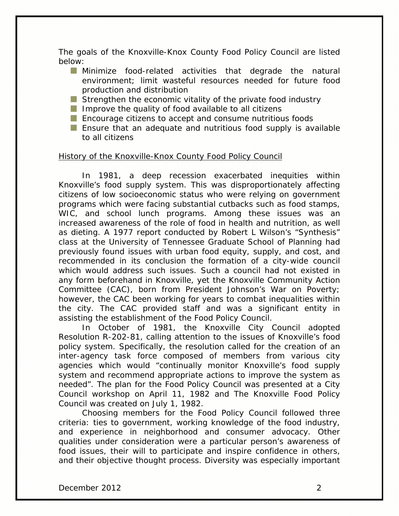The goals of the Knoxville-Knox County Food Policy Council are listed below:

- **Minimize food-related activities that degrade the natural** environment; limit wasteful resources needed for future food production and distribution
- Strengthen the economic vitality of the private food industry
- Improve the quality of food available to all citizens
- **Encourage citizens to accept and consume nutritious foods**
- **Ensure that an adequate and nutritious food supply is available** to all citizens

#### History of the Knoxville-Knox County Food Policy Council

In 1981, a deep recession exacerbated inequities within Knoxville's food supply system. This was disproportionately affecting citizens of low socioeconomic status who were relying on government programs which were facing substantial cutbacks such as food stamps, WIC, and school lunch programs. Among these issues was an increased awareness of the role of food in health and nutrition, as well as dieting. A 1977 report conducted by Robert L Wilson's "Synthesis" class at the University of Tennessee Graduate School of Planning had previously found issues with urban food equity, supply, and cost, and recommended in its conclusion the formation of a city-wide council which would address such issues. Such a council had not existed in any form beforehand in Knoxville, yet the Knoxville Community Action Committee (CAC), born from President Johnson's War on Poverty; however, the CAC been working for years to combat inequalities within the city. The CAC provided staff and was a significant entity in assisting the establishment of the Food Policy Council.

In October of 1981, the Knoxville City Council adopted Resolution R-202-81, calling attention to the issues of Knoxville's food policy system. Specifically, the resolution called for the creation of an inter-agency task force composed of members from various city agencies which would "continually monitor Knoxville's food supply system and recommend appropriate actions to improve the system as needed". The plan for the Food Policy Council was presented at a City Council workshop on April 11, 1982 and The Knoxville Food Policy Council was created on July 1, 1982.

Choosing members for the Food Policy Council followed three criteria: ties to government, working knowledge of the food industry, and experience in neighborhood and consumer advocacy. Other qualities under consideration were a particular person's awareness of food issues, their will to participate and inspire confidence in others, and their objective thought process. Diversity was especially important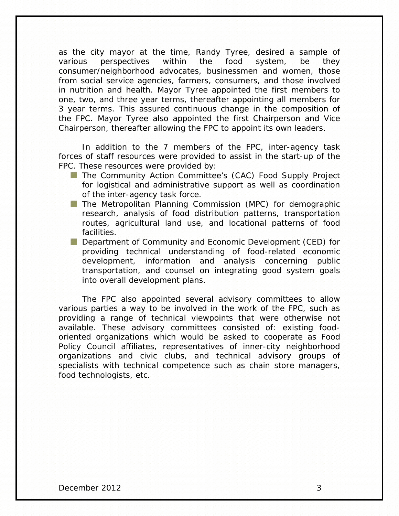as the city mayor at the time, Randy Tyree, desired a sample of various perspectives within the food system, be they consumer/neighborhood advocates, businessmen and women, those from social service agencies, farmers, consumers, and those involved in nutrition and health. Mayor Tyree appointed the first members to one, two, and three year terms, thereafter appointing all members for 3 year terms. This assured continuous change in the composition of the FPC. Mayor Tyree also appointed the first Chairperson and Vice Chairperson, thereafter allowing the FPC to appoint its own leaders.

In addition to the 7 members of the FPC, inter-agency task forces of staff resources were provided to assist in the start-up of the FPC. These resources were provided by:

- **The Community Action Committee's (CAC) Food Supply Project** for logistical and administrative support as well as coordination of the inter-agency task force.
- **The Metropolitan Planning Commission (MPC) for demographic** research, analysis of food distribution patterns, transportation routes, agricultural land use, and locational patterns of food facilities.
- **Department of Community and Economic Development (CED) for** providing technical understanding of food-related economic development, information and analysis concerning public transportation, and counsel on integrating good system goals into overall development plans.

The FPC also appointed several advisory committees to allow various parties a way to be involved in the work of the FPC, such as providing a range of technical viewpoints that were otherwise not available. These advisory committees consisted of: existing foodoriented organizations which would be asked to cooperate as Food Policy Council affiliates, representatives of inner-city neighborhood organizations and civic clubs, and technical advisory groups of specialists with technical competence such as chain store managers, food technologists, etc.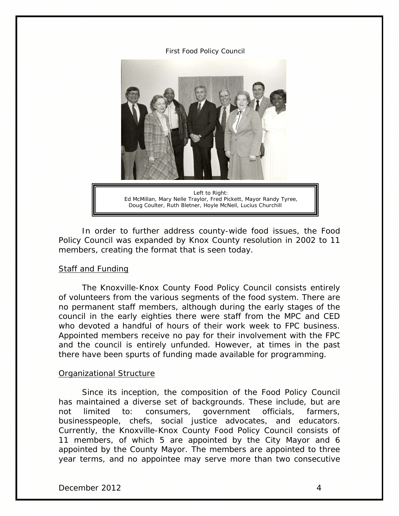First Food Policy Council



In order to further address county-wide food issues, the Food Policy Council was expanded by Knox County resolution in 2002 to 11 members, creating the format that is seen today.

#### Staff and Funding

The Knoxville-Knox County Food Policy Council consists entirely of volunteers from the various segments of the food system. There are no permanent staff members, although during the early stages of the council in the early eighties there were staff from the MPC and CED who devoted a handful of hours of their work week to FPC business. Appointed members receive no pay for their involvement with the FPC and the council is entirely unfunded. However, at times in the past there have been spurts of funding made available for programming.

#### Organizational Structure

Since its inception, the composition of the Food Policy Council has maintained a diverse set of backgrounds. These include, but are not limited to: consumers, government officials, farmers, businesspeople, chefs, social justice advocates, and educators. Currently, the Knoxville-Knox County Food Policy Council consists of 11 members, of which 5 are appointed by the City Mayor and 6 appointed by the County Mayor. The members are appointed to three year terms, and no appointee may serve more than two consecutive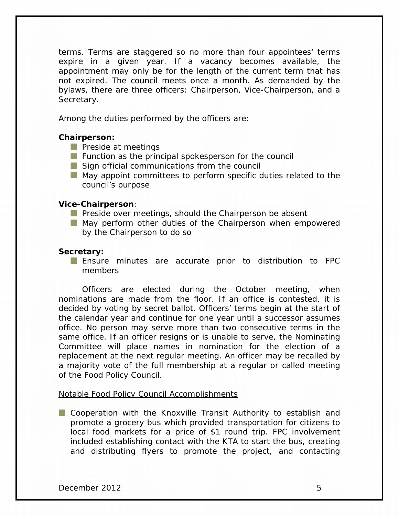terms. Terms are staggered so no more than four appointees' terms expire in a given year. If a vacancy becomes available, the appointment may only be for the length of the current term that has not expired. The council meets once a month. As demanded by the bylaws, there are three officers: Chairperson, Vice-Chairperson, and a Secretary.

Among the duties performed by the officers are:

# **Chairperson:**

- **Preside at meetings**
- **Function as the principal spokesperson for the council**
- Sign official communications from the council
- May appoint committees to perform specific duties related to the council's purpose

#### **Vice-Chairperson**:

- **Preside over meetings, should the Chairperson be absent**
- **May perform other duties of the Chairperson when empowered** by the Chairperson to do so

# **Secretary:**

Ensure minutes are accurate prior to distribution to FPC members

Officers are elected during the October meeting, when nominations are made from the floor. If an office is contested, it is decided by voting by secret ballot. Officers' terms begin at the start of the calendar year and continue for one year until a successor assumes office. No person may serve more than two consecutive terms in the same office. If an officer resigns or is unable to serve, the Nominating Committee will place names in nomination for the election of a replacement at the next regular meeting. An officer may be recalled by a majority vote of the full membership at a regular or called meeting of the Food Policy Council.

#### Notable Food Policy Council Accomplishments

Cooperation with the Knoxville Transit Authority to establish and promote a grocery bus which provided transportation for citizens to local food markets for a price of \$1 round trip. FPC involvement included establishing contact with the KTA to start the bus, creating and distributing flyers to promote the project, and contacting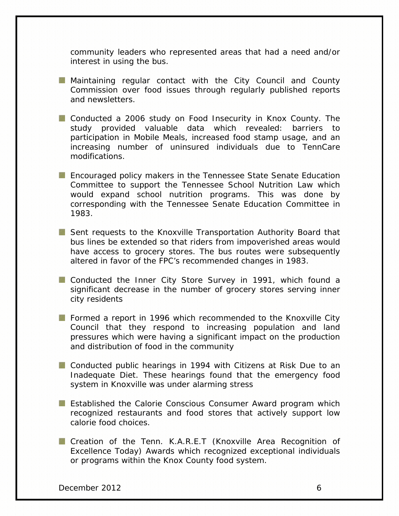community leaders who represented areas that had a need and/or interest in using the bus.

- **Maintaining regular contact with the City Council and County** Commission over food issues through regularly published reports and newsletters.
- **Conducted a 2006 study on Food Insecurity in Knox County. The** study provided valuable data which revealed: barriers to participation in Mobile Meals, increased food stamp usage, and an increasing number of uninsured individuals due to TennCare modifications.
- **Encouraged policy makers in the Tennessee State Senate Education** Committee to support the Tennessee School Nutrition Law which would expand school nutrition programs. This was done by corresponding with the Tennessee Senate Education Committee in 1983.
- Sent requests to the Knoxville Transportation Authority Board that bus lines be extended so that riders from impoverished areas would have access to grocery stores. The bus routes were subsequently altered in favor of the FPC's recommended changes in 1983.
- **Conducted the Inner City Store Survey in 1991, which found a** significant decrease in the number of grocery stores serving inner city residents
- Formed a report in 1996 which recommended to the Knoxville City Council that they respond to increasing population and land pressures which were having a significant impact on the production and distribution of food in the community
- **Conducted public hearings in 1994 with Citizens at Risk Due to an** Inadequate Diet. These hearings found that the emergency food system in Knoxville was under alarming stress
- **Established the Calorie Conscious Consumer Award program which** recognized restaurants and food stores that actively support low calorie food choices.
- **Creation of the Tenn. K.A.R.E.T (Knoxville Area Recognition of** Excellence Today) Awards which recognized exceptional individuals or programs within the Knox County food system.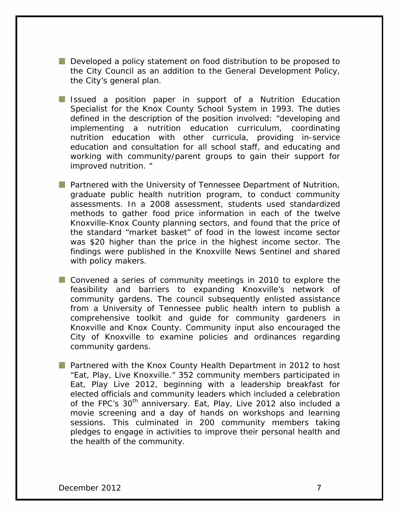Developed a policy statement on food distribution to be proposed to the City Council as an addition to the General Development Policy, the City's general plan.

- **I** Issued a position paper in support of a Nutrition Education Specialist for the Knox County School System in 1993. The duties defined in the description of the position involved: "developing and implementing a nutrition education curriculum, coordinating nutrition education with other curricula, providing in-service education and consultation for all school staff, and educating and working with community/parent groups to gain their support for improved nutrition. "
- **Partnered with the University of Tennessee Department of Nutrition,** graduate public health nutrition program, to conduct community assessments. In a 2008 assessment, students used standardized methods to gather food price information in each of the twelve Knoxville-Knox County planning sectors, and found that the price of the standard "market basket" of food in the lowest income sector was \$20 higher than the price in the highest income sector. The findings were published in the Knoxville News Sentinel and shared with policy makers.
- **Convened a series of community meetings in 2010 to explore the** feasibility and barriers to expanding Knoxville's network of community gardens. The council subsequently enlisted assistance from a University of Tennessee public health intern to publish a comprehensive toolkit and guide for community gardeners in Knoxville and Knox County. Community input also encouraged the City of Knoxville to examine policies and ordinances regarding community gardens.
- **Partnered with the Knox County Health Department in 2012 to host** "Eat, Play, Live Knoxville." 352 community members participated in Eat, Play Live 2012, beginning with a leadership breakfast for elected officials and community leaders which included a celebration of the FPC's 30<sup>th</sup> anniversary. Eat, Play, Live 2012 also included a movie screening and a day of hands on workshops and learning sessions. This culminated in 200 community members taking pledges to engage in activities to improve their personal health and the health of the community.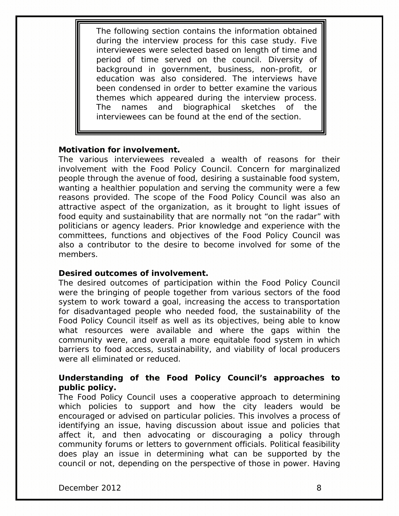The following section contains the information obtained during the interview process for this case study. Five interviewees were selected based on length of time and period of time served on the council. Diversity of background in government, business, non-profit, or education was also considered. The interviews have been condensed in order to better examine the various themes which appeared during the interview process. The names and biographical sketches of the interviewees can be found at the end of the section.

#### **Motivation for involvement.**

The various interviewees revealed a wealth of reasons for their involvement with the Food Policy Council. Concern for marginalized people through the avenue of food, desiring a sustainable food system, wanting a healthier population and serving the community were a few reasons provided. The scope of the Food Policy Council was also an attractive aspect of the organization, as it brought to light issues of food equity and sustainability that are normally not "on the radar" with politicians or agency leaders. Prior knowledge and experience with the committees, functions and objectives of the Food Policy Council was also a contributor to the desire to become involved for some of the members.

# **Desired outcomes of involvement.**

The desired outcomes of participation within the Food Policy Council were the bringing of people together from various sectors of the food system to work toward a goal, increasing the access to transportation for disadvantaged people who needed food, the sustainability of the Food Policy Council itself as well as its objectives, being able to know what resources were available and where the gaps within the community were, and overall a more equitable food system in which barriers to food access, sustainability, and viability of local producers were all eliminated or reduced.

# **Understanding of the Food Policy Council's approaches to public policy.**

The Food Policy Council uses a cooperative approach to determining which policies to support and how the city leaders would be encouraged or advised on particular policies. This involves a process of identifying an issue, having discussion about issue and policies that affect it, and then advocating or discouraging a policy through community forums or letters to government officials. Political feasibility does play an issue in determining what can be supported by the council or not, depending on the perspective of those in power. Having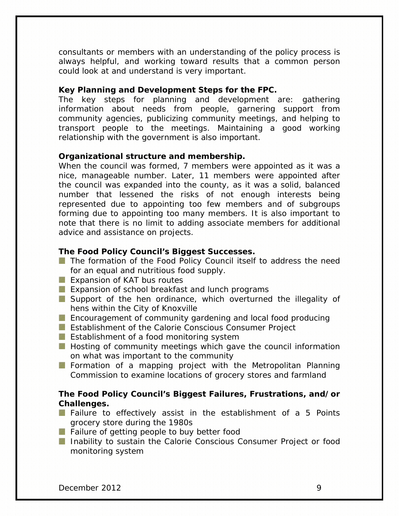consultants or members with an understanding of the policy process is always helpful, and working toward results that a common person could look at and understand is very important.

#### **Key Planning and Development Steps for the FPC.**

The key steps for planning and development are: gathering information about needs from people, garnering support from community agencies, publicizing community meetings, and helping to transport people to the meetings. Maintaining a good working relationship with the government is also important.

#### **Organizational structure and membership.**

When the council was formed, 7 members were appointed as it was a nice, manageable number. Later, 11 members were appointed after the council was expanded into the county, as it was a solid, balanced number that lessened the risks of not enough interests being represented due to appointing too few members and of subgroups forming due to appointing too many members. It is also important to note that there is no limit to adding associate members for additional advice and assistance on projects.

# **The Food Policy Council's Biggest Successes.**

- The formation of the Food Policy Council itself to address the need for an equal and nutritious food supply.
- **Expansion of KAT bus routes**
- **EXPERIGE 2018** Expansion of school breakfast and lunch programs
- Support of the hen ordinance, which overturned the illegality of hens within the City of Knoxville
- **Encouragement of community gardening and local food producing**
- **Extrablishment of the Calorie Conscious Consumer Project**
- **Extrablishment of a food monitoring system**
- **Hosting of community meetings which gave the council information** on what was important to the community
- Formation of a mapping project with the Metropolitan Planning Commission to examine locations of grocery stores and farmland

# **The Food Policy Council's Biggest Failures, Frustrations, and/or Challenges.**

- **F** Failure to effectively assist in the establishment of a 5 Points grocery store during the 1980s
- Failure of getting people to buy better food
- **Inability to sustain the Calorie Conscious Consumer Project or food** monitoring system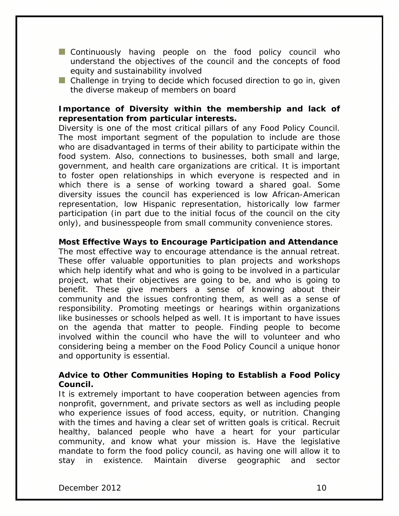- **Continuously having people on the food policy council who** understand the objectives of the council and the concepts of food equity and sustainability involved
- **Challenge in trying to decide which focused direction to go in, given** the diverse makeup of members on board

# **Importance of Diversity within the membership and lack of representation from particular interests.**

Diversity is one of the most critical pillars of any Food Policy Council. The most important segment of the population to include are those who are disadvantaged in terms of their ability to participate within the food system. Also, connections to businesses, both small and large, government, and health care organizations are critical. It is important to foster open relationships in which everyone is respected and in which there is a sense of working toward a shared goal. Some diversity issues the council has experienced is low African-American representation, low Hispanic representation, historically low farmer participation (in part due to the initial focus of the council on the city only), and businesspeople from small community convenience stores.

#### **Most Effective Ways to Encourage Participation and Attendance**

The most effective way to encourage attendance is the annual retreat. These offer valuable opportunities to plan projects and workshops which help identify what and who is going to be involved in a particular project, what their objectives are going to be, and who is going to benefit. These give members a sense of knowing about their community and the issues confronting them, as well as a sense of responsibility. Promoting meetings or hearings within organizations like businesses or schools helped as well. It is important to have issues on the agenda that matter to people. Finding people to become involved within the council who have the will to volunteer and who considering being a member on the Food Policy Council a unique honor and opportunity is essential.

# **Advice to Other Communities Hoping to Establish a Food Policy Council.**

It is extremely important to have cooperation between agencies from nonprofit, government, and private sectors as well as including people who experience issues of food access, equity, or nutrition. Changing with the times and having a clear set of written goals is critical. Recruit healthy, balanced people who have a heart for your particular community, and know what your mission is. Have the legislative mandate to form the food policy council, as having one will allow it to stay in existence. Maintain diverse geographic and sector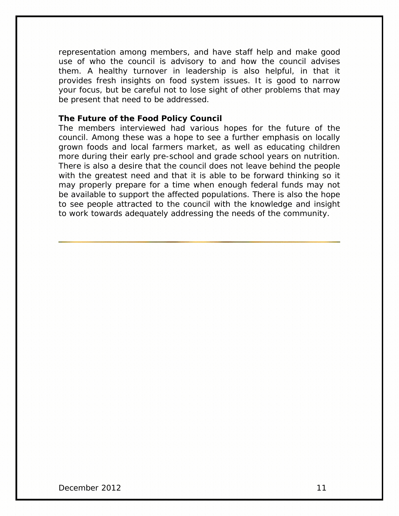representation among members, and have staff help and make good use of who the council is advisory to and how the council advises them. A healthy turnover in leadership is also helpful, in that it provides fresh insights on food system issues. It is good to narrow your focus, but be careful not to lose sight of other problems that may be present that need to be addressed.

#### **The Future of the Food Policy Council**

The members interviewed had various hopes for the future of the council. Among these was a hope to see a further emphasis on locally grown foods and local farmers market, as well as educating children more during their early pre-school and grade school years on nutrition. There is also a desire that the council does not leave behind the people with the greatest need and that it is able to be forward thinking so it may properly prepare for a time when enough federal funds may not be available to support the affected populations. There is also the hope to see people attracted to the council with the knowledge and insight to work towards adequately addressing the needs of the community.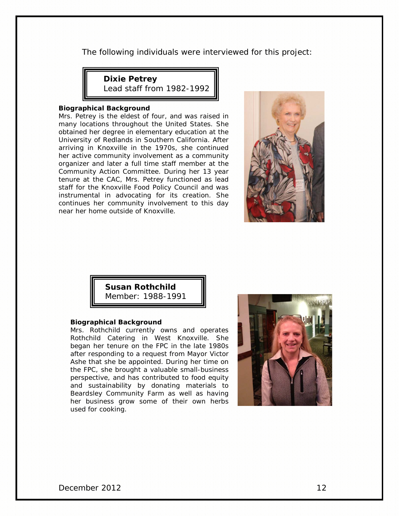The following individuals were interviewed for this project:

**Dixie Petrey**

Lead staff from 1982-1992

#### **Biographical Background**

Mrs. Petrey is the eldest of four, and was raised in many locations throughout the United States. She obtained her degree in elementary education at the University of Redlands in Southern California. After arriving in Knoxville in the 1970s, she continued her active community involvement as a community organizer and later a full time staff member at the Community Action Committee. During her 13 year tenure at the CAC, Mrs. Petrey functioned as lead staff for the Knoxville Food Policy Council and was instrumental in advocating for its creation. She continues her community involvement to this day near her home outside of Knoxville.



**Susan Rothchild** Member: 1988-1991

#### **Biographical Background**

Mrs. Rothchild currently owns and operates Rothchild Catering in West Knoxville. She began her tenure on the FPC in the late 1980s after responding to a request from Mayor Victor Ashe that she be appointed. During her time on the FPC, she brought a valuable small-business perspective, and has contributed to food equity and sustainability by donating materials to Beardsley Community Farm as well as having her business grow some of their own herbs used for cooking.

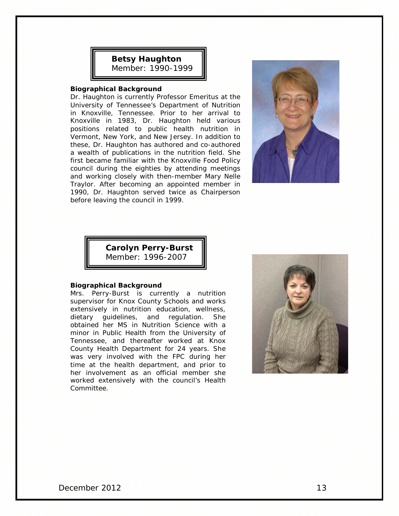# **Betsy Haughton** Member: 1990-1999

#### **Biographical Background**

Dr. Haughton is currently Professor Emeritus at the University of Tennessee's Department of Nutrition in Knoxville, Tennessee. Prior to her arrival to Knoxville in 1983, Dr. Haughton held various positions related to public health nutrition in Vermont, New York, and New Jersey. In addition to these, Dr. Haughton has authored and co-authored a wealth of publications in the nutrition field. She first became familiar with the Knoxville Food Policy council during the eighties by attending meetings and working closely with then-member Mary Nelle Traylor. After becoming an appointed member in 1990, Dr. Haughton served twice as Chairperson before leaving the council in 1999.



**Carolyn Perry-Burst** Member: 1996-2007

#### **Biographical Background**

Mrs. Perry-Burst is currently a nutrition supervisor for Knox County Schools and works extensively in nutrition education, wellness, dietary guidelines, and regulation. She obtained her MS in Nutrition Science with a minor in Public Health from the University of Tennessee, and thereafter worked at Knox County Health Department for 24 years. She was very involved with the FPC during her time at the health department, and prior to her involvement as an official member she worked extensively with the council's Health Committee.